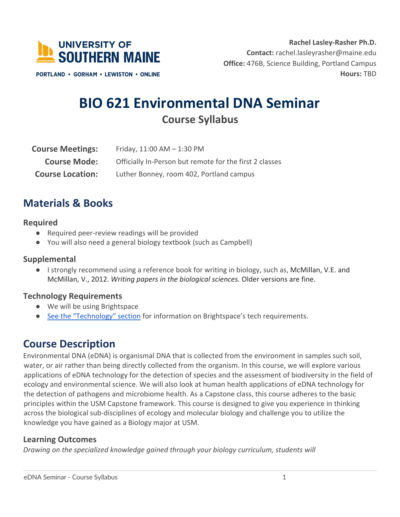

 **Office:** 476B, Science Building, Portland Campus **Rachel Lasley-Rasher Ph.D. Contact:** [rachel.lasleyrasher@maine.edu](mailto:rachel.lasleyrasher@maine.edu) **Hours:** TBD

**PORTLAND • GORHAM • LEWISTON • ONLINE** 

# **BIO 621 Environmental DNA Seminar Course Syllabus**

| <b>Course Meetings:</b> | Friday, $11:00$ AM $- 1:30$ PM                          |  |
|-------------------------|---------------------------------------------------------|--|
| <b>Course Mode:</b>     | Officially In-Person but remote for the first 2 classes |  |
| <b>Course Location:</b> | Luther Bonney, room 402, Portland campus                |  |

## **Materials & Books**

#### **Required**

- Required peer-review readings will be provided
- You will also need a general biology textbook (such as Campbell)

#### **Supplemental**

 ● I strongly recommend using a reference book for writing in biology, such as, McMillan, V.E. and McMillan, V., 2012. *Writing papers in the biological sciences*. Older versions are fine.

#### **Technology Requirements**

- We will be using Brightspace
- See the "Technology" section for information on Brightspace's tech requirements.

## **Course Description**

 water, or air rather than being directly collected from the organism. In this course, we will explore various applications of eDNA technology for the detection of species and the assessment of biodiversity in the field of ecology and environmental science. We will also look at human health applications of eDNA technology for the detection of pathogens and microbiome health. As a Capstone class, this course adheres to the basic principles within the USM Capstone framework. This course is designed to give you experience in thinking across the biological sub-disciplines of ecology and molecular biology and challenge you to utilize the knowledge you have gained as a Biology major at USM. Environmental DNA (eDNA) is organismal DNA that is collected from the environment in samples such soil,

### **Learning Outcomes**

 *Drawing on the specialized knowledge gained through your biology curriculum, students will*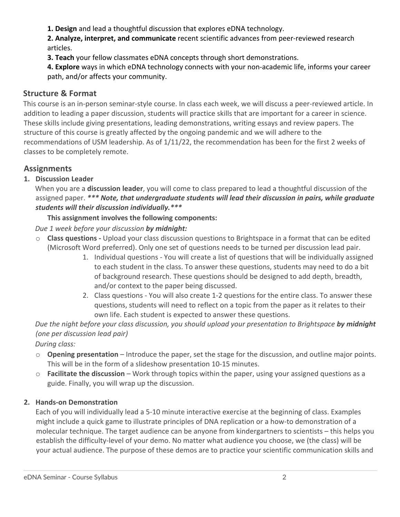**1. Design** and lead a thoughtful discussion that explores eDNA technology.

 **2. Analyze, interpret, and communicate** recent scientific advances from peer-reviewed research articles.

**3. Teach** your fellow classmates eDNA concepts through short demonstrations.

 **4. Explore** ways in which eDNA technology connects with your non-academic life, informs your career path, and/or affects your community.

### **Structure & Format**

 This course is an in-person seminar-style course. In class each week, we will discuss a peer-reviewed article. In addition to leading a paper discussion, students will practice skills that are important for a career in science. These skills include giving presentations, leading demonstrations, writing essays and review papers. The structure of this course is greatly affected by the ongoing pandemic and we will adhere to the recommendations of USM leadership. As of 1/11/22, the recommendation has been for the first 2 weeks of classes to be completely remote.

### **Assignments**

### **1. Discussion Leader**

 When you are a **discussion leader**, you will come to class prepared to lead a thoughtful discussion of the assigned paper. *\*\*\* Note, that undergraduate students will lead their discussion in pairs, while graduate students will their discussion individually.\*\*\** 

### **This assignment involves the following components:**

 *Due 1 week before your discussion by midnight:* 

- o **Class questions -** Upload your class discussion questions to Brightspace in a format that can be edited (Microsoft Word preferred). Only one set of questions needs to be turned per discussion lead pair.
	- 1. Individual questions You will create a list of questions that will be individually assigned to each student in the class. To answer these questions, students may need to do a bit of background research. These questions should be designed to add depth, breadth, and/or context to the paper being discussed.
	- 2. Class questions You will also create 1-2 questions for the entire class. To answer these questions, students will need to reflect on a topic from the paper as it relates to their own life. Each student is expected to answer these questions.

 *Due the night before your class discussion, you should upload your presentation to Brightspace by midnight (one per discussion lead pair)* 

*During class:* 

- o **Opening presentation**  Introduce the paper, set the stage for the discussion, and outline major points. This will be in the form of a slideshow presentation 10-15 minutes.
- o **Facilitate the discussion**  Work through topics within the paper, using your assigned questions as a guide. Finally, you will wrap up the discussion.

### **2. Hands-on Demonstration**

 Each of you will individually lead a 5-10 minute interactive exercise at the beginning of class. Examples might include a quick game to illustrate principles of DNA replication or a how-to demonstration of a molecular technique. The target audience can be anyone from kindergartners to scientists – this helps you establish the difficulty-level of your demo. No matter what audience you choose, we (the class) will be your actual audience. The purpose of these demos are to practice your scientific communication skills and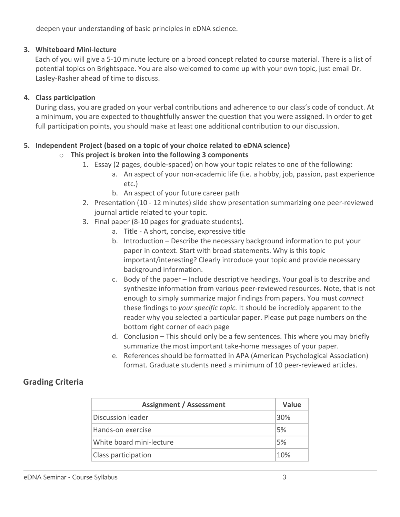deepen your understanding of basic principles in eDNA science.

#### **3. Whiteboard Mini-lecture**

 Each of you will give a 5-10 minute lecture on a broad concept related to course material. There is a list of potential topics on Brightspace. You are also welcomed to come up with your own topic, just email Dr. Lasley-Rasher ahead of time to discuss.

#### **4. Class participation**

 During class, you are graded on your verbal contributions and adherence to our class's code of conduct. At a minimum, you are expected to thoughtfully answer the question that you were assigned. In order to get full participation points, you should make at least one additional contribution to our discussion.

#### **5. Independent Project (based on a topic of your choice related to eDNA science)**

#### o **This project is broken into the following 3 components**

- 1. Essay (2 pages, double-spaced) on how your topic relates to one of the following:
	- a. An aspect of your non-academic life (i.e. a hobby, job, passion, past experience etc.)
	- b. An aspect of your future career path
- 2. Presentation (10 12 minutes) slide show presentation summarizing one peer-reviewed journal article related to your topic.
- 3. Final paper (8-10 pages for graduate students).
	- a. Title A short, concise, expressive title
	- b. Introduction Describe the necessary background information to put your paper in context. Start with broad statements. Why is this topic important/interesting? Clearly introduce your topic and provide necessary background information.
	- c. Body of the paper Include descriptive headings. Your goal is to describe and synthesize information from various peer-reviewed resources. Note, that is not enough to simply summarize major findings from papers. You must *connect*  these findings to *your specific topic.* It should be incredibly apparent to the reader why you selected a particular paper. Please put page numbers on the bottom right corner of each page
	- d. Conclusion This should only be a few sentences. This where you may briefly summarize the most important take-home messages of your paper.
	- e. References should be formatted in APA (American Psychological Association) format. Graduate students need a minimum of 10 peer-reviewed articles.

### **Grading Criteria**

| Value |
|-------|
| 30%   |
| 5%    |
| 5%    |
| 10%   |
|       |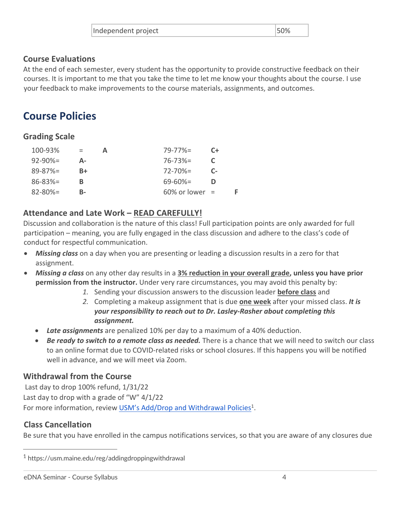| Independent project | 50% |
|---------------------|-----|
|                     |     |

#### **Course Evaluations**

 At the end of each semester, every student has the opportunity to provide constructive feedback on their courses. It is important to me that you take the time to let me know your thoughts about the course. I use your feedback to make improvements to the course materials, assignments, and outcomes.

## **Course Policies**

### **Grading Scale**

| 100-93%       | $=$<br>А | $79 - 77\% =$     | $C+$ |  |
|---------------|----------|-------------------|------|--|
| $92 - 90\% =$ | Δ-       | $76 - 73\% =$     |      |  |
| $89 - 87% =$  | B+       | $72 - 70\% =$     | $C-$ |  |
| $86 - 83\% =$ | В        | $69 - 60\% =$     |      |  |
| $82 - 80\% =$ | В-       | $60\%$ or lower = |      |  |

### **Attendance and Late Work – READ CAREFULLY!**

 Discussion and collaboration is the nature of this class! Full participation points are only awarded for full participation – meaning, you are fully engaged in the class discussion and adhere to the class's code of conduct for respectful communication.

- • *Missing class* on a day when you are presenting or leading a discussion results in a zero for that assignment.
- *Missing a class* on any other day results in a **3% reduction in your overall grade, unless you have prior permission from the instructor.** Under very rare circumstances, you may avoid this penalty by:
	- *1.* Sending your discussion answers to the discussion leader **before class** and
	- *2.* Completing a makeup assignment that is due **one week** after your missed class. *It is your responsibility to reach out to Dr. Lasley-Rasher about completing this assignment.*
	- *Late assignments* are penalized 10% per day to a maximum of a 40% deduction.
	- Be ready to switch to a remote class as needed. There is a chance that we will need to switch our class to an online format due to COVID-related risks or school closures. If this happens you will be notified well in advance, and we will meet via Zoom.

### **Withdrawal from the Course**

 Last day to drop 100% refund, 1/31/22 Last day to drop with a grade of "W" 4/1/22 For more information, review USM's Add/Drop and Withdrawal Policies<sup>1</sup>.

### **Class Cancellation**

Be sure that you have enrolled in the campus notifications services, so that you are aware of any closures due

 $1$  <https://usm.maine.edu/reg/addingdroppingwithdrawal>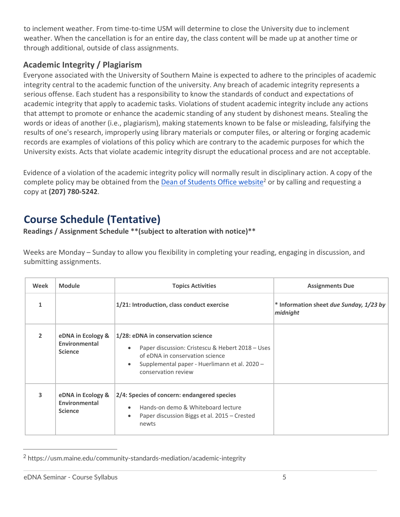to inclement weather. From time-to-time USM will determine to close the University due to inclement weather. When the cancellation is for an entire day, the class content will be made up at another time or through additional, outside of class assignments.

### **Academic Integrity / Plagiarism**

 Everyone associated with the University of Southern Maine is expected to adhere to the principles of academic integrity central to the academic function of the university. Any breach of academic integrity represents a serious offense. Each student has a responsibility to know the standards of conduct and expectations of academic integrity that apply to academic tasks. Violations of student academic integrity include any actions that attempt to promote or enhance the academic standing of any student by dishonest means. Stealing the words or ideas of another (i.e., plagiarism), making statements known to be false or misleading, falsifying the results of one's research, improperly using library materials or computer files, or altering or forging academic records are examples of violations of this policy which are contrary to the academic purposes for which the University exists. Acts that violate academic integrity disrupt the educational process and are not acceptable.

 Evidence of a violation of the academic integrity policy will normally result in disciplinary action. A copy of the complete policy may be obtained from the **Dean of Students Office website**<sup>2</sup> or by calling and requesting a copy at **(207) 780-5242**.

## **Course Schedule (Tentative)**

**Readings / Assignment Schedule \*\*(subject to alteration with notice)\*\*** 

 Weeks are Monday – Sunday to allow you flexibility in completing your reading, engaging in discussion, and submitting assignments.

| Week          | <b>Module</b>                                        | <b>Topics Activities</b>                                                                                                                                                                                                    | <b>Assignments Due</b>                              |
|---------------|------------------------------------------------------|-----------------------------------------------------------------------------------------------------------------------------------------------------------------------------------------------------------------------------|-----------------------------------------------------|
| $\mathbf{1}$  |                                                      | 1/21: Introduction, class conduct exercise                                                                                                                                                                                  | * Information sheet due Sunday, 1/23 by<br>midnight |
| $\mathcal{P}$ | eDNA in Ecology &<br>Environmental<br><b>Science</b> | 1/28: eDNA in conservation science<br>Paper discussion: Cristescu & Hebert 2018 - Uses<br>$\bullet$<br>of eDNA in conservation science<br>Supplemental paper - Huerlimann et al. 2020 -<br>$\bullet$<br>conservation review |                                                     |
| 3             | eDNA in Ecology &<br>Environmental<br><b>Science</b> | 2/4: Species of concern: endangered species<br>Hands-on demo & Whiteboard lecture<br>$\bullet$<br>Paper discussion Biggs et al. 2015 – Crested<br>$\bullet$<br>newts                                                        |                                                     |

<sup>2</sup> <https://usm.maine.edu/community-standards-mediation/academic-integrity>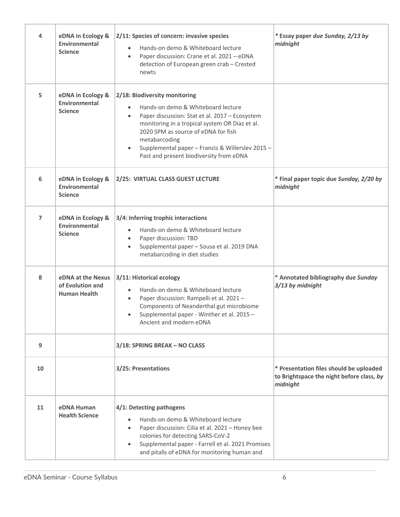| 4              | eDNA in Ecology &<br>Environmental<br><b>Science</b>         | 2/11: Species of concern: invasive species<br>Hands-on demo & Whiteboard lecture<br>Paper discussion: Crane et al. 2021 - eDNA<br>$\bullet$<br>detection of European green crab - Crested<br>newts                                                                                                                                                       | * Essay paper due Sunday, 2/13 by<br>midnight                                                    |
|----------------|--------------------------------------------------------------|----------------------------------------------------------------------------------------------------------------------------------------------------------------------------------------------------------------------------------------------------------------------------------------------------------------------------------------------------------|--------------------------------------------------------------------------------------------------|
| 5              | eDNA in Ecology &<br>Environmental<br><b>Science</b>         | 2/18: Biodiversity monitoring<br>Hands-on demo & Whiteboard lecture<br>Paper discussion: Stat et al. 2017 - Ecosystem<br>$\bullet$<br>monitoring in a tropical system OR Diaz et al.<br>2020 SPM as source of eDNA for fish<br>metabarcoding<br>Supplemental paper - Francis & Willerslev 2015 -<br>$\bullet$<br>Past and present biodiversity from eDNA |                                                                                                  |
| 6              | eDNA in Ecology &<br>Environmental<br><b>Science</b>         | 2/25: VIRTUAL CLASS GUEST LECTURE                                                                                                                                                                                                                                                                                                                        | * Final paper topic due Sunday, 2/20 by<br>midnight                                              |
| $\overline{7}$ | eDNA in Ecology &<br>Environmental<br><b>Science</b>         | 3/4: Inferring trophic interactions<br>Hands-on demo & Whiteboard lecture<br>$\bullet$<br>Paper discussion: TBD<br>$\bullet$<br>Supplemental paper - Sousa et al. 2019 DNA<br>$\bullet$<br>metabarcoding in diet studies                                                                                                                                 |                                                                                                  |
| 8              | eDNA at the Nexus<br>of Evolution and<br><b>Human Health</b> | 3/11: Historical ecology<br>Hands-on demo & Whiteboard lecture<br>$\bullet$<br>Paper discussion: Rampelli et al. 2021 -<br>$\bullet$<br>Components of Neanderthal gut microbiome<br>Supplemental paper - Winther et al. 2015 -<br>$\bullet$<br>Ancient and modern eDNA                                                                                   | * Annotated bibliography due Sunday<br>3/13 by midnight                                          |
| 9              |                                                              | 3/18: SPRING BREAK - NO CLASS                                                                                                                                                                                                                                                                                                                            |                                                                                                  |
| 10             |                                                              | 3/25: Presentations                                                                                                                                                                                                                                                                                                                                      | * Presentation files should be uploaded<br>to Brightspace the night before class, by<br>midnight |
| 11             | eDNA Human<br><b>Health Science</b>                          | 4/1: Detecting pathogens<br>Hands-on demo & Whiteboard lecture<br>$\bullet$<br>Paper discussion: Cilia et al. 2021 - Honey bee<br>$\bullet$<br>colonies for detecting SARS-CoV-2<br>Supplemental paper - Farrell et al. 2021 Promises<br>$\bullet$<br>and pitalls of eDNA for monitoring human and                                                       |                                                                                                  |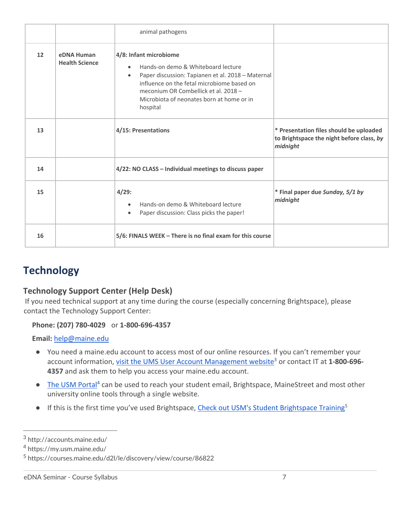|    |                                     | animal pathogens                                                                                                                                                                                                                                                                           |                                                                                                  |
|----|-------------------------------------|--------------------------------------------------------------------------------------------------------------------------------------------------------------------------------------------------------------------------------------------------------------------------------------------|--------------------------------------------------------------------------------------------------|
| 12 | eDNA Human<br><b>Health Science</b> | 4/8: Infant microbiome<br>Hands-on demo & Whiteboard lecture<br>$\bullet$<br>Paper discussion: Tapianen et al. 2018 - Maternal<br>$\bullet$<br>influence on the fetal microbiome based on<br>meconium OR Combellick et al. 2018 -<br>Microbiota of neonates born at home or in<br>hospital |                                                                                                  |
| 13 |                                     | 4/15: Presentations                                                                                                                                                                                                                                                                        | * Presentation files should be uploaded<br>to Brightspace the night before class, by<br>midnight |
| 14 |                                     | 4/22: NO CLASS - Individual meetings to discuss paper                                                                                                                                                                                                                                      |                                                                                                  |
| 15 |                                     | 4/29:<br>Hands-on demo & Whiteboard lecture<br>$\bullet$<br>Paper discussion: Class picks the paper!<br>$\bullet$                                                                                                                                                                          | * Final paper due Sunday, 5/1 by<br>midnight                                                     |
| 16 |                                     | 5/6: FINALS WEEK - There is no final exam for this course                                                                                                                                                                                                                                  |                                                                                                  |

## **Technology**

### **Technology Support Center (Help Desk)**

 If you need technical support at any time during the course (especially concerning Brightspace), please contact the Technology Support Center:

### **Phone: (207) 780-4029** or **1-800-696-4357**

**Email:** [help@maine.edu](mailto:help@maine.edu) 

- You need a [maine.edu](https://maine.edu) account to access most of our online resources. If you can't remember your account information, *visit the UMS User Account Management website*<sup>3</sup> or contact IT at 1-800-696-**4357** and ask them to help you access your [maine.edu](https://maine.edu) account.
- The USM Portal<sup>4</sup> can be used to reach your student email, Brightspace, MaineStreet and most other university online tools through a single website.
- **.** If this is the first time you've used Brightspace, Check out USM's Student Brightspace Training<sup>5</sup>

<sup>3</sup> <http://accounts.maine.edu>/

<sup>4</sup> <https://my.usm.maine.edu>/

<sup>5</sup> <https://courses.maine.edu/d2l/le/discovery/view/course/86822>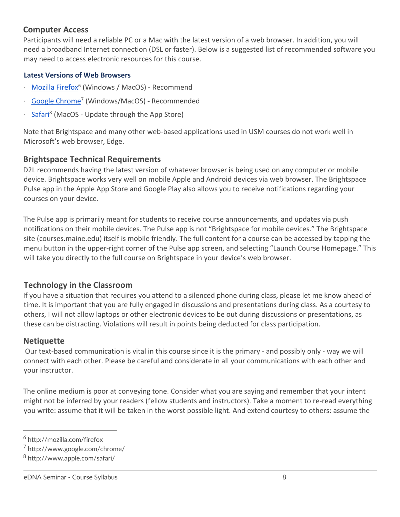#### **Computer Access**

 Participants will need a reliable PC or a Mac with the latest version of a web browser. In addition, you will need a broadband Internet connection (DSL or faster). Below is a suggested list of recommended software you may need to access electronic resources for this course.

#### **Latest Versions of Web Browsers**

- Mozilla Firefox<sup>6</sup> (Windows / MacOS) Recommend
- Google Chrome<sup>7</sup> (Windows/MacOS) Recommended
- Safari<sup>8</sup> (MacOS Update through the App Store)

 Note that Brightspace and many other web-based applications used in USM courses do not work well in Microsoft's web browser, Edge.

### **Brightspace Technical Requirements**

 D2L recommends having the latest version of whatever browser is being used on any computer or mobile device. Brightspace works very well on mobile Apple and Android devices via web browser. The Brightspace Pulse app in the Apple App Store and Google Play also allows you to receive notifications regarding your courses on your device.

 The Pulse app is primarily meant for students to receive course announcements, and updates via push notifications on their mobile devices. The Pulse app is not "Brightspace for mobile devices." The Brightspace site [\(courses.maine.edu](https://courses.maine.edu)) itself is mobile friendly. The full content for a course can be accessed by tapping the menu button in the upper-right corner of the Pulse app screen, and selecting "Launch Course Homepage." This will take you directly to the full course on Brightspace in your device's web browser.

### **Technology in the Classroom**

 If you have a situation that requires you attend to a silenced phone during class, please let me know ahead of time. It is important that you are fully engaged in discussions and presentations during class. As a courtesy to others, I will not allow laptops or other electronic devices to be out during discussions or presentations, as these can be distracting. Violations will result in points being deducted for class participation.

#### **Netiquette**

 Our text-based communication is vital in this course since it is the primary - and possibly only - way we will connect with each other. Please be careful and considerate in all your communications with each other and your instructor.

 The online medium is poor at conveying tone. Consider what you are saying and remember that your intent might not be inferred by your readers (fellow students and instructors). Take a moment to re-read everything you write: assume that it will be taken in the worst possible light. And extend courtesy to others: assume the

<sup>6</sup> <http://mozilla.com/firefox>

<sup>7</sup> [http://www.google.com/chrome/](http://www.google.com/chrome)

<sup>8</sup> [http://www.apple.com/safari/](http://www.apple.com/safari)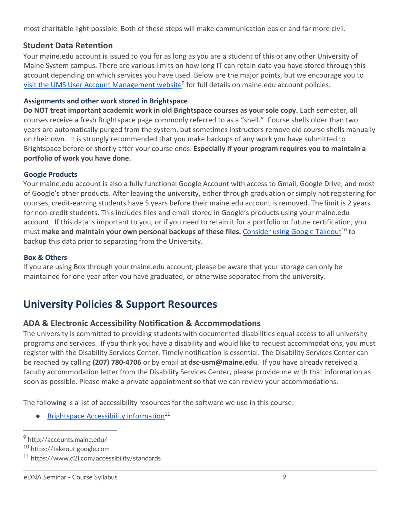most charitable light possible. Both of these steps will make communication easier and far more civil.

### **Student Data Retention**

 Your [maine.edu](https://maine.edu) account is issued to you for as long as you are a student of this or any other University of Maine System campus. There are various limits on how long IT can retain data you have stored through this account depending on which services you have used. Below are the major points, but we encourage you to visit the UMS User Account Management website<sup>9</sup> for full details on [maine.edu](https://maine.edu) account policies.

#### **Assignments and other work stored in Brightspace**

 **Do NOT treat important academic work in old Brightspace courses as your sole copy.** Each semester, all courses receive a fresh Brightspace page commonly referred to as a "shell." Course shells older than two years are automatically purged from the system, but sometimes instructors remove old course shells manually on their own. It is strongly recommended that you make backups of any work you have submitted to Brightspace before or shortly after your course ends. **Especially if your program requires you to maintain a portfolio of work you have done.** 

#### **Google Products**

 Your [maine.edu](https://maine.edu) account is also a fully functional Google Account with access to Gmail, Google Drive, and most of Google's other products. After leaving the university, either through graduation or simply not registering for courses, credit-earning students have 5 years before their [maine.edu](https://maine.edu) account is removed. The limit is 2 years for non-credit students. This includes files and email stored in Google's products using your [maine.edu](https://maine.edu) account. If this data is important to you, or if you need to retain it for a portfolio or future certification, you must make and maintain your own personal backups of these files. Consider using Google Takeout<sup>10</sup> to backup this data prior to separating from the University.

#### **Box & Others**

 If you are using Box through your [maine.edu](https://maine.edu) account, please be aware that your storage can only be maintained for one year after you have graduated, or otherwise separated from the university.

## **University Policies & Support Resources**

### **ADA & Electronic Accessibility Notification & Accommodations**

 The university is committed to providing students with documented disabilities equal access to all university programs and services. If you think you have a disability and would like to request accommodations, you must register with the Disability Services Center. Timely notification is essential. The Disability Services Center can be reached by calling **(207) 780-4706** or by email at **[dsc-usm@maine.edu](mailto:dsc-usm@maine.edu)**. If you have already received a faculty accommodation letter from the Disability Services Center, please provide me with that information as soon as possible. Please make a private appointment so that we can review your accommodations.

The following is a list of accessibility resources for the software we use in this course:

**•** Brightspace Accessibility information<sup>11</sup>

<sup>9</sup> <http://accounts.maine.edu>/

<sup>10</sup> <https://takeout.google.com>

<sup>11</sup> <https://www.d2l.com/accessibility/standards>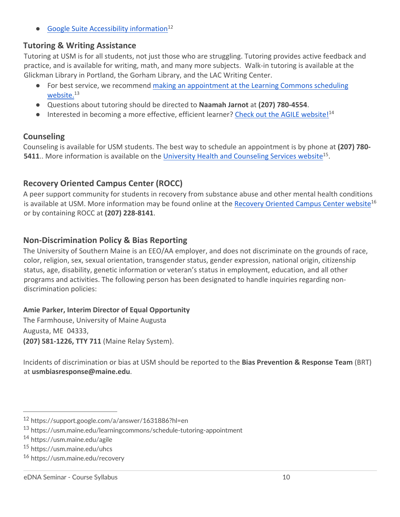• Google Suite Accessibility information<sup>12</sup>

### **Tutoring & Writing Assistance**

 Tutoring at USM is for all students, not just those who are struggling. Tutoring provides active feedback and practice, and is available for writing, math, and many more subjects. Walk-in tutoring is available at the Glickman Library in Portland, the Gorham Library, and the LAC Writing Center.

- **•** For best service, we recommend making an appointment at the Learning Commons scheduling website.<sup>13</sup>
- Questions about tutoring should be directed to **Naamah Jarnot** at **(207) 780-4554**.
- **•** Interested in becoming a more effective, efficient learner? Check out the AGILE website!<sup>14</sup>

### **Counseling**

 Counseling is available for USM students. The best way to schedule an appointment is by phone at **(207) 780- 5411**.. More information is available on the University Health and Counseling Services website<sup>15</sup>.

### **Recovery Oriented Campus Center (ROCC)**

 A peer support community for students in recovery from substance abuse and other mental health conditions is available at USM. More information may be found online at the **Recovery Oriented Campus Center website**<sup>16</sup> or by containing ROCC at **(207) 228-8141**.

### **Non-Discrimination Policy & Bias Reporting**

 The University of Southern Maine is an EEO/AA employer, and does not discriminate on the grounds of race, color, religion, sex, sexual orientation, transgender status, gender expression, national origin, citizenship status, age, disability, genetic information or veteran's status in employment, education, and all other programs and activities. The following person has been designated to handle inquiries regarding nondiscrimination policies:

#### **Amie Parker, Interim Director of Equal Opportunity**

 The Farmhouse, University of Maine Augusta Augusta, ME 04333, **(207) 581-1226, TTY 711** (Maine Relay System).

 Incidents of discrimination or bias at USM should be reported to the **Bias Prevention & Response Team** (BRT) at **[usmbiasresponse@maine.edu](mailto:usmbiasresponse@maine.edu)**.

<sup>12</sup> <https://support.google.com/a/answer/1631886?hl=en>

<sup>13</sup> <https://usm.maine.edu/learningcommons/schedule-tutoring-appointment>

<sup>14</sup> <https://usm.maine.edu/agile>

<sup>15</sup> <https://usm.maine.edu/uhcs>

<sup>16</sup> <https://usm.maine.edu/recovery>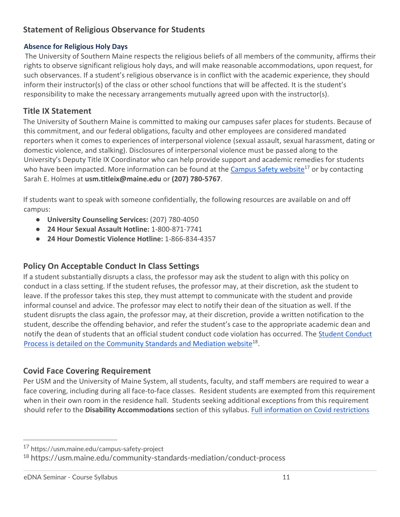### **Statement of Religious Observance for Students**

#### **Absence for Religious Holy Days**

 The University of Southern Maine respects the religious beliefs of all members of the community, affirms their rights to observe significant religious holy days, and will make reasonable accommodations, upon request, for such observances. If a student's religious observance is in conflict with the academic experience, they should inform their instructor(s) of the class or other school functions that will be affected. It is the student's responsibility to make the necessary arrangements mutually agreed upon with the instructor(s).

### **Title IX Statement**

 The University of Southern Maine is committed to making our campuses safer places for students. Because of this commitment, and our federal obligations, faculty and other employees are considered mandated reporters when it comes to experiences of interpersonal violence (sexual assault, sexual harassment, dating or domestic violence, and stalking). Disclosures of interpersonal violence must be passed along to the University's Deputy Title IX Coordinator who can help provide support and academic remedies for students who have been impacted. More information can be found at the Campus Safety website<sup>17</sup> or by contacting Sarah E. Holmes at **[usm.titleix@maine.edu](mailto:usm.titleix@maine.edu)** or **(207) 780-5767**.

 If students want to speak with someone confidentially, the following resources are available on and off campus:

- **University Counseling Services: (207) 780-4050**
- **24 Hour Sexual Assault Hotline:** 1-800-871-7741
- **24 Hour Domestic Violence Hotline:** 1-866-834-4357

### **Policy On Acceptable Conduct In Class Settings**

 If a student substantially disrupts a class, the professor may ask the student to align with this policy on conduct in a class setting. If the student refuses, the professor may, at their discretion, ask the student to leave. If the professor takes this step, they must attempt to communicate with the student and provide informal counsel and advice. The professor may elect to notify their dean of the situation as well. If the student disrupts the class again, the professor may, at their discretion, provide a written notification to the student, describe the offending behavior, and refer the student's case to the appropriate academic dean and notify the dean of students that an official student conduct code violation has occurred. The Student Conduct Process is detailed on the Community Standards and Mediation website<sup>18</sup>.

### **Covid Face Covering Requirement**

 Per USM and the University of Maine System, all students, faculty, and staff members are required to wear a face covering, including during all face-to-face classes. Resident students are exempted from this requirement when in their own room in the residence hall. Students seeking additional exceptions from this requirement should refer to the **Disability Accommodations** section of this syllabus. Full information on Covid restrictions

<sup>17</sup> <https://usm.maine.edu/campus-safety-project>

<sup>18</sup> <https://usm.maine.edu/community-standards-mediation/conduct-process>